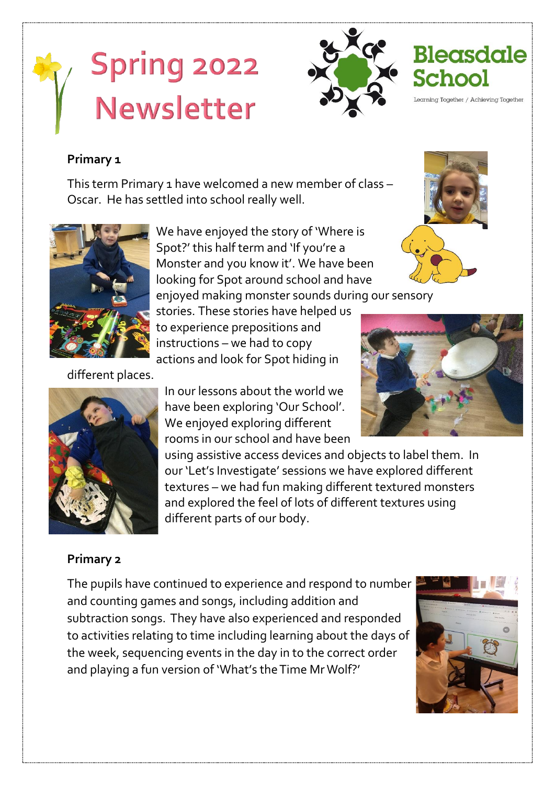# **Spring 2022** Newsletter



earning Together / Achieving Together

#### **Primary 1**

This term Primary 1 have welcomed a new member of class – Oscar. He has settled into school really well.



We have enjoyed the story of 'Where is Spot?' this half term and 'If you're a Monster and you know it'. We have been looking for Spot around school and have

enjoyed making monster sounds during our sensory stories. These stories have helped us to experience prepositions and instructions – we had to copy actions and look for Spot hiding in

In our lessons about the world we have been exploring 'Our School'. We enjoyed exploring different

using assistive access devices and objects to label them. In our 'Let's Investigate' sessions we have explored different textures – we had fun making different textured monsters

and explored the feel of lots of different textures using

different places.



#### **Primary 2**

The pupils have continued to experience and respond to number and counting games and songs, including addition and subtraction songs. They have also experienced and responded to activities relating to time including learning about the days of the week, sequencing events in the day in to the correct order and playing a fun version of 'What's the Time Mr Wolf?'

different parts of our body.





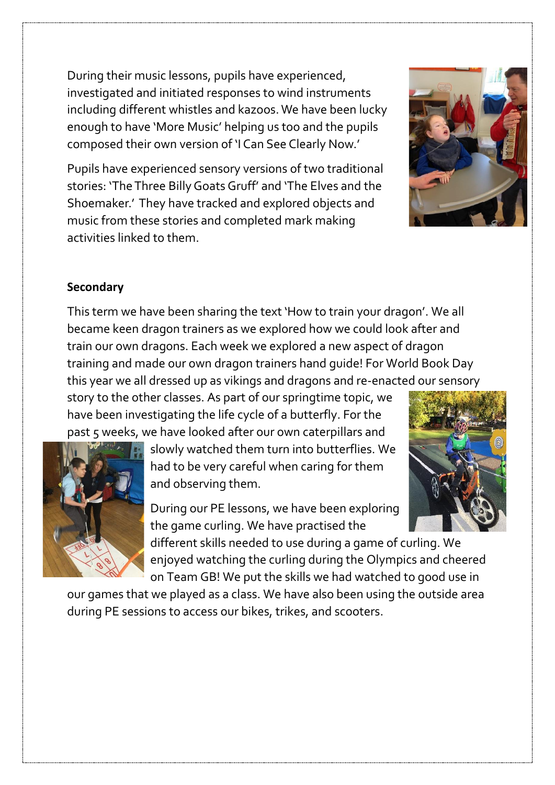During their music lessons, pupils have experienced, investigated and initiated responses to wind instruments including different whistles and kazoos. We have been lucky enough to have 'More Music' helping us too and the pupils composed their own version of 'I Can See Clearly Now.'

Pupils have experienced sensory versions of two traditional stories: 'The Three Billy Goats Gruff' and 'The Elves and the Shoemaker.' They have tracked and explored objects and music from these stories and completed mark making activities linked to them.



### **Secondary**

This term we have been sharing the text 'How to train your dragon'. We all became keen dragon trainers as we explored how we could look after and train our own dragons. Each week we explored a new aspect of dragon training and made our own dragon trainers hand guide! For World Book Day this year we all dressed up as vikings and dragons and re-enacted our sensory

story to the other classes. As part of our springtime topic, we have been investigating the life cycle of a butterfly. For the past 5 weeks, we have looked after our own caterpillars and



slowly watched them turn into butterflies. We had to be very careful when caring for them and observing them.

During our PE lessons, we have been exploring the game curling. We have practised the

different skills needed to use during a game of curling. We enjoyed watching the curling during the Olympics and cheered on Team GB! We put the skills we had watched to good use in

our games that we played as a class. We have also been using the outside area during PE sessions to access our bikes, trikes, and scooters.

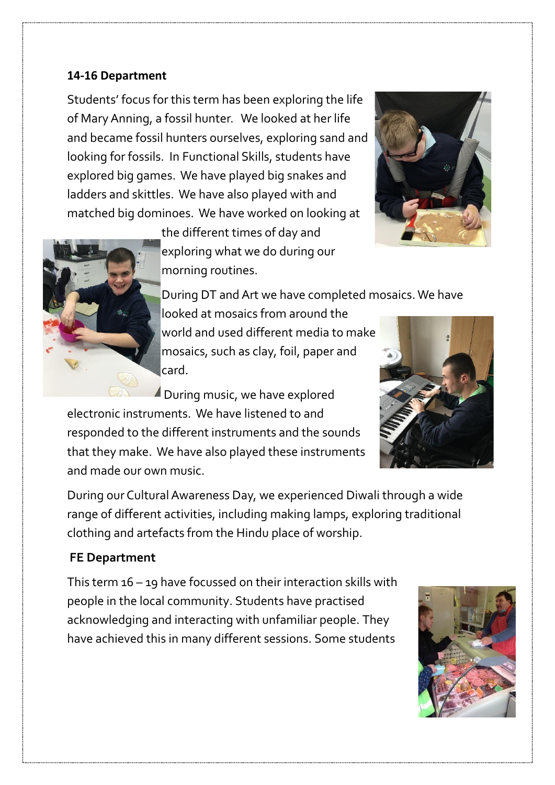#### **14-16 Department**

Students' focus for this term has been exploring the life of Mary Anning, a fossil hunter. We looked at her life and became fossil hunters ourselves, exploring sand and looking for fossils. In Functional Skills, students have explored big games. We have played big snakes and ladders and skittles. We have also played with and matched big dominoes. We have worked on looking at





the different times of day and exploring what we do during our morning routines.

During DT and Art we have completed mosaics. We have

looked at mosaics from around the world and used different media to make mosaics, such as clay, foil, paper and card.

During music, we have explored electronic instruments. We have listened to and responded to the different instruments and the sounds that they make. We have also played these instruments and made our own music.



During our Cultural Awareness Day, we experienced Diwali through a wide range of different activities, including making lamps, exploring traditional clothing and artefacts from the Hindu place of worship.

### **FE Department**

This term 16 – 19 have focussed on their interaction skills with people in the local community. Students have practised acknowledging and interacting with unfamiliar people. They have achieved this in many different sessions. Some students

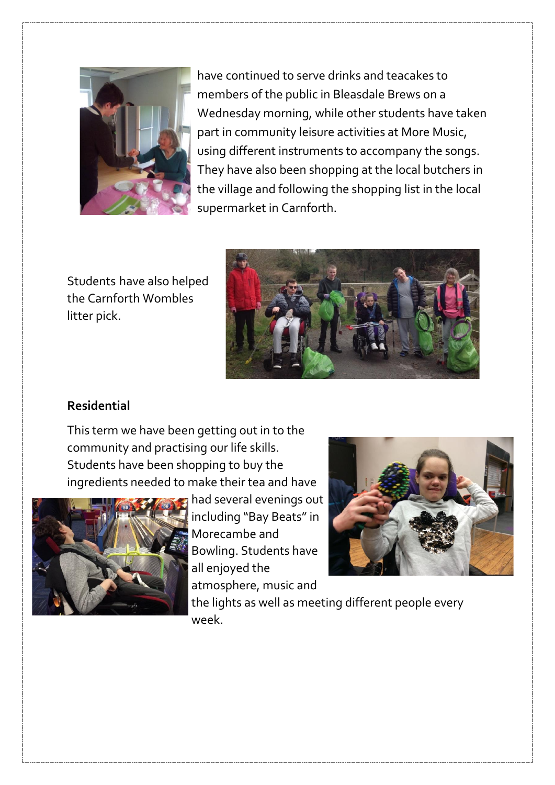

have continued to serve drinks and teacakes to members of the public in Bleasdale Brews on a Wednesday morning, while other students have taken part in community leisure activities at More Music, using different instruments to accompany the songs. They have also been shopping at the local butchers in the village and following the shopping list in the local supermarket in Carnforth.

Students have also helped the Carnforth Wombles litter pick.



## **Residential**

This term we have been getting out in to the community and practising our life skills. Students have been shopping to buy the ingredients needed to make their tea and have



had several evenings out including "Bay Beats" in Morecambe and Bowling. Students have all enjoyed the atmosphere, music and



the lights as well as meeting different people every week.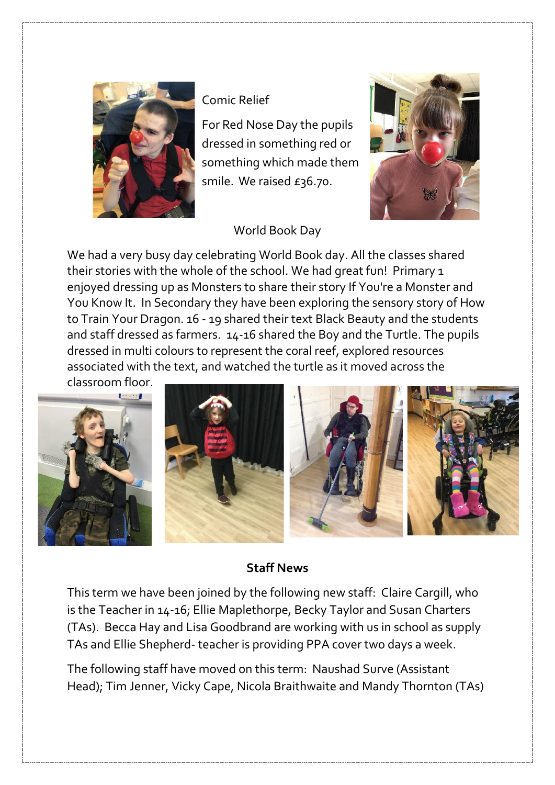

Comic Relief

For Red Nose Day the pupils dressed in something red or something which made them smile. We raised £36.70.

# World Book Day

We had a very busy day celebrating World Book day. All the classes shared their stories with the whole of the school. We had great fun! Primary 1 enjoyed dressing up as Monsters to share their story If You're a Monster and You Know It. In Secondary they have been exploring the sensory story of How to Train Your Dragon. 16 - 19 shared their text Black Beauty and the students and staff dressed as farmers. 14-16 shared the Boy and the Turtle. The pupils dressed in multi colours to represent the coral reef, explored resources associated with the text, and watched the turtle as it moved across the

classroom floor.



# **Staff News**

This term we have been joined by the following new staff: Claire Cargill, who is the Teacher in 14-16; Ellie Maplethorpe, Becky Taylor and Susan Charters (TAs). Becca Hay and Lisa Goodbrand are working with us in school as supply TAs and Ellie Shepherd- teacher is providing PPA cover two days a week.

The following staff have moved on this term: Naushad Surve (Assistant Head); Tim Jenner, Vicky Cape, Nicola Braithwaite and Mandy Thornton (TAs)